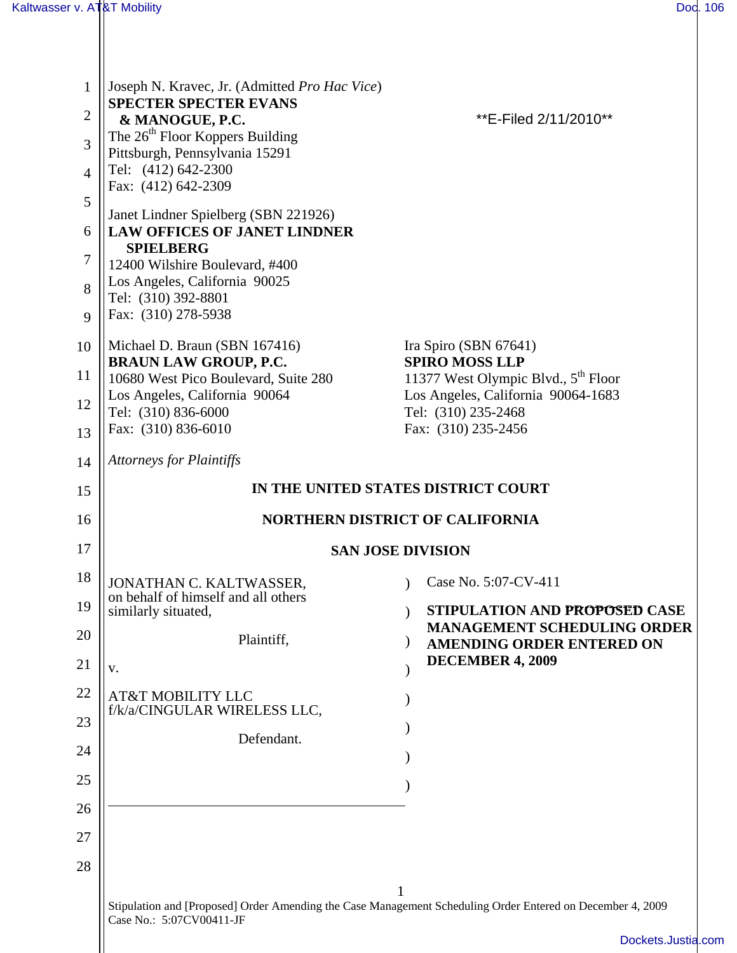| $\mathbf{1}$   | Joseph N. Kravec, Jr. (Admitted Pro Hac Vice)                                                              |  |                                                                                       |  |
|----------------|------------------------------------------------------------------------------------------------------------|--|---------------------------------------------------------------------------------------|--|
| $\overline{2}$ | <b>SPECTER SPECTER EVANS</b><br>& MANOGUE, P.C.                                                            |  | **E-Filed 2/11/2010**                                                                 |  |
| 3              | The $26th$ Floor Koppers Building<br>Pittsburgh, Pennsylvania 15291                                        |  |                                                                                       |  |
| $\overline{4}$ | Tel: (412) 642-2300                                                                                        |  |                                                                                       |  |
| 5              | Fax: (412) 642-2309                                                                                        |  |                                                                                       |  |
| 6              | Janet Lindner Spielberg (SBN 221926)<br><b>LAW OFFICES OF JANET LINDNER</b>                                |  |                                                                                       |  |
| 7              | <b>SPIELBERG</b>                                                                                           |  |                                                                                       |  |
| 8              | 12400 Wilshire Boulevard, #400<br>Los Angeles, California 90025                                            |  |                                                                                       |  |
| 9              | Tel: (310) 392-8801<br>Fax: (310) 278-5938                                                                 |  |                                                                                       |  |
| 10             | Michael D. Braun (SBN 167416)                                                                              |  | Ira Spiro (SBN 67641)                                                                 |  |
|                | <b>BRAUN LAW GROUP, P.C.</b>                                                                               |  | <b>SPIRO MOSS LLP</b>                                                                 |  |
| 11             | 10680 West Pico Boulevard, Suite 280<br>Los Angeles, California 90064                                      |  | 11377 West Olympic Blvd., 5 <sup>th</sup> Floor<br>Los Angeles, California 90064-1683 |  |
| 12             | Tel: (310) 836-6000<br>Fax: (310) 836-6010                                                                 |  | Tel: (310) 235-2468<br>Fax: (310) 235-2456                                            |  |
| 13             |                                                                                                            |  |                                                                                       |  |
| 14             | <b>Attorneys for Plaintiffs</b>                                                                            |  |                                                                                       |  |
| 15             | IN THE UNITED STATES DISTRICT COURT                                                                        |  |                                                                                       |  |
| 16             | <b>NORTHERN DISTRICT OF CALIFORNIA</b>                                                                     |  |                                                                                       |  |
| 17             |                                                                                                            |  | <b>SAN JOSE DIVISION</b>                                                              |  |
| 18             | JONATHAN C. KALTWASSER,<br>on behalf of himself and all others                                             |  | Case No. 5:07-CV-411                                                                  |  |
| 19             | similarly situated,                                                                                        |  | STIPULATION AND PROPOSED CASE<br><b>MANAGEMENT SCHEDULING ORDER</b>                   |  |
| 20             | Plaintiff,                                                                                                 |  | <b>AMENDING ORDER ENTERED ON</b>                                                      |  |
| 21             | V.                                                                                                         |  | <b>DECEMBER 4, 2009</b>                                                               |  |
| 22             | <b>AT&amp;T MOBILITY LLC</b><br>f/k/a/CINGULAR WIRELESS LLC,                                               |  |                                                                                       |  |
| 23             | Defendant.                                                                                                 |  |                                                                                       |  |
| 24             |                                                                                                            |  |                                                                                       |  |
| 25             |                                                                                                            |  |                                                                                       |  |
| 26             |                                                                                                            |  |                                                                                       |  |
| 27             |                                                                                                            |  |                                                                                       |  |
| 28             |                                                                                                            |  |                                                                                       |  |
|                | Stipulation and [Proposed] Order Amending the Case Management Scheduling Order Entered on December 4, 2009 |  |                                                                                       |  |
|                | Case No.: 5:07CV00411-JF                                                                                   |  |                                                                                       |  |
|                |                                                                                                            |  | Dockets.Justia.cor                                                                    |  |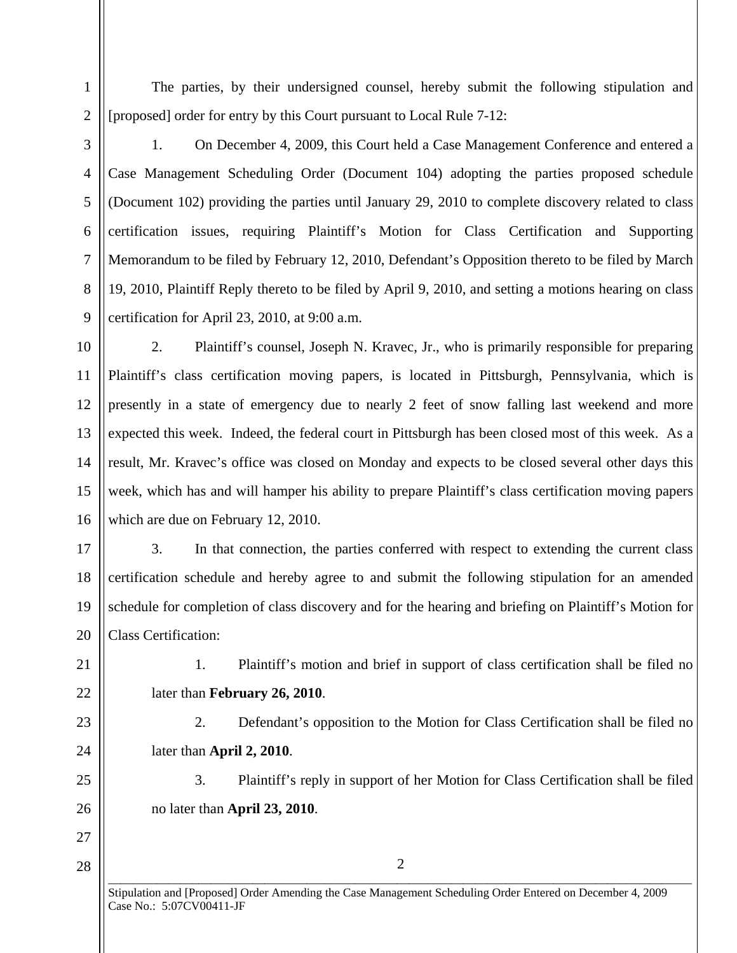The parties, by their undersigned counsel, hereby submit the following stipulation and [proposed] order for entry by this Court pursuant to Local Rule 7-12:

1

 $\mathfrak{D}$ 

3

4

5

6

7

8

9

1. On December 4, 2009, this Court held a Case Management Conference and entered a Case Management Scheduling Order (Document 104) adopting the parties proposed schedule (Document 102) providing the parties until January 29, 2010 to complete discovery related to class certification issues, requiring Plaintiff's Motion for Class Certification and Supporting Memorandum to be filed by February 12, 2010, Defendant's Opposition thereto to be filed by March 19, 2010, Plaintiff Reply thereto to be filed by April 9, 2010, and setting a motions hearing on class certification for April 23, 2010, at 9:00 a.m.

10 11

12

13

14

15

2. Plaintiff's counsel, Joseph N. Kravec, Jr., who is primarily responsible for preparing Plaintiff's class certification moving papers, is located in Pittsburgh, Pennsylvania, which is presently in a state of emergency due to nearly 2 feet of snow falling last weekend and more expected this week. Indeed, the federal court in Pittsburgh has been closed most of this week. As a result, Mr. Kravec's office was closed on Monday and expects to be closed several other days this week, which has and will hamper his ability to prepare Plaintiff's class certification moving papers which are due on February 12, 2010.

16 17

18

19

20

3. In that connection, the parties conferred with respect to extending the current class certification schedule and hereby agree to and submit the following stipulation for an amended schedule for completion of class discovery and for the hearing and briefing on Plaintiff's Motion for Class Certification:

21

22

23

24

25

26

27

28

1. Plaintiff's motion and brief in support of class certification shall be filed no later than **February 26, 2010**.

2. Defendant's opposition to the Motion for Class Certification shall be filed no later than **April 2, 2010**.

3. Plaintiff's reply in support of her Motion for Class Certification shall be filed no later than **April 23, 2010**.

 $\overline{a_1}$  ,  $\overline{a_2}$  ,  $\overline{a_3}$  ,  $\overline{a_4}$  ,  $\overline{a_5}$  ,  $\overline{a_6}$  ,  $\overline{a_7}$  ,  $\overline{a_8}$  ,  $\overline{a_9}$  ,  $\overline{a_9}$  ,  $\overline{a_9}$  ,  $\overline{a_9}$  ,  $\overline{a_9}$  ,  $\overline{a_9}$  ,  $\overline{a_9}$  ,  $\overline{a_9}$  ,  $\overline{a_9}$  , 2

Stipulation and [Proposed] Order Amending the Case Management Scheduling Order Entered on December 4, 2009 Case No.: 5:07CV00411-JF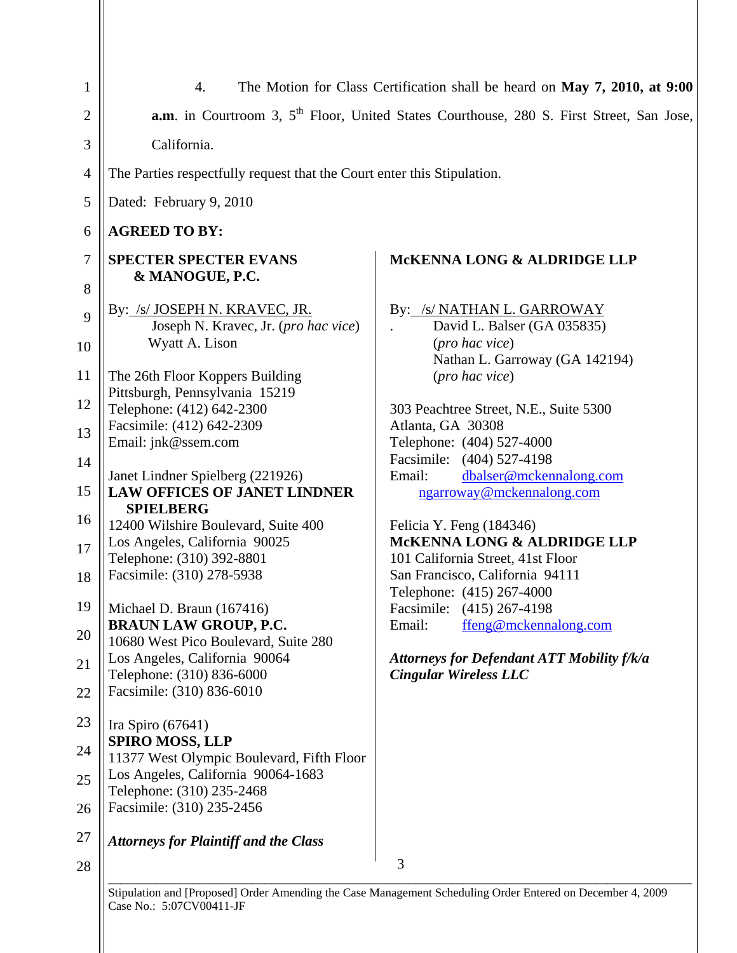| $\mathbf{1}$                                                                                      | 4.                                                                                                                                                                                                                                                                                                                                                                                                                                                                                                                                                                                                                                                                                                                                                                                                                                                      | The Motion for Class Certification shall be heard on May 7, 2010, at 9:00                                                                                                                                                                                                                                                                                                                                                                                                                                                                                                                                                                       |  |  |
|---------------------------------------------------------------------------------------------------|---------------------------------------------------------------------------------------------------------------------------------------------------------------------------------------------------------------------------------------------------------------------------------------------------------------------------------------------------------------------------------------------------------------------------------------------------------------------------------------------------------------------------------------------------------------------------------------------------------------------------------------------------------------------------------------------------------------------------------------------------------------------------------------------------------------------------------------------------------|-------------------------------------------------------------------------------------------------------------------------------------------------------------------------------------------------------------------------------------------------------------------------------------------------------------------------------------------------------------------------------------------------------------------------------------------------------------------------------------------------------------------------------------------------------------------------------------------------------------------------------------------------|--|--|
| $\overline{2}$                                                                                    | <b>a.m.</b> in Courtroom 3, 5 <sup>th</sup> Floor, United States Courthouse, 280 S. First Street, San Jose,                                                                                                                                                                                                                                                                                                                                                                                                                                                                                                                                                                                                                                                                                                                                             |                                                                                                                                                                                                                                                                                                                                                                                                                                                                                                                                                                                                                                                 |  |  |
| 3                                                                                                 | California.                                                                                                                                                                                                                                                                                                                                                                                                                                                                                                                                                                                                                                                                                                                                                                                                                                             |                                                                                                                                                                                                                                                                                                                                                                                                                                                                                                                                                                                                                                                 |  |  |
| $\overline{4}$                                                                                    | The Parties respectfully request that the Court enter this Stipulation.                                                                                                                                                                                                                                                                                                                                                                                                                                                                                                                                                                                                                                                                                                                                                                                 |                                                                                                                                                                                                                                                                                                                                                                                                                                                                                                                                                                                                                                                 |  |  |
| 5                                                                                                 | Dated: February 9, 2010                                                                                                                                                                                                                                                                                                                                                                                                                                                                                                                                                                                                                                                                                                                                                                                                                                 |                                                                                                                                                                                                                                                                                                                                                                                                                                                                                                                                                                                                                                                 |  |  |
| 6                                                                                                 | <b>AGREED TO BY:</b>                                                                                                                                                                                                                                                                                                                                                                                                                                                                                                                                                                                                                                                                                                                                                                                                                                    |                                                                                                                                                                                                                                                                                                                                                                                                                                                                                                                                                                                                                                                 |  |  |
| 7<br>8                                                                                            | <b>SPECTER SPECTER EVANS</b><br>& MANOGUE, P.C.                                                                                                                                                                                                                                                                                                                                                                                                                                                                                                                                                                                                                                                                                                                                                                                                         | <b>MCKENNA LONG &amp; ALDRIDGE LLP</b>                                                                                                                                                                                                                                                                                                                                                                                                                                                                                                                                                                                                          |  |  |
| 9<br>10<br>11<br>12<br>13<br>14<br>15<br>16<br>17<br>18<br>19<br>20<br>21<br>22<br>23<br>24<br>25 | By: /s/ JOSEPH N. KRAVEC, JR.<br>Joseph N. Kravec, Jr. (pro hac vice)<br>Wyatt A. Lison<br>The 26th Floor Koppers Building<br>Pittsburgh, Pennsylvania 15219<br>Telephone: (412) 642-2300<br>Facsimile: (412) 642-2309<br>Email: jnk@ssem.com<br>Janet Lindner Spielberg (221926)<br><b>LAW OFFICES OF JANET LINDNER</b><br><b>SPIELBERG</b><br>12400 Wilshire Boulevard, Suite 400<br>Los Angeles, California 90025<br>Telephone: (310) 392-8801<br>Facsimile: (310) 278-5938<br>$\vert$ Michael D. Braun (167416)<br><b>BRAUN LAW GROUP, P.C.</b><br>10680 West Pico Boulevard, Suite 280<br>Los Angeles, California 90064<br>Telephone: (310) 836-6000<br>Facsimile: (310) 836-6010<br>Ira Spiro $(67641)$<br><b>SPIRO MOSS, LLP</b><br>11377 West Olympic Boulevard, Fifth Floor<br>Los Angeles, California 90064-1683<br>Telephone: (310) 235-2468 | By: /s/ NATHAN L. GARROWAY<br>David L. Balser (GA 035835)<br>(pro hac vice)<br>Nathan L. Garroway (GA 142194)<br>(pro hac vice)<br>303 Peachtree Street, N.E., Suite 5300<br>Atlanta, GA 30308<br>Telephone: (404) 527-4000<br>Facsimile: (404) 527-4198<br>dbalser@mckennalong.com<br>Email:<br>ngarroway@mckennalong.com<br>Felicia Y. Feng (184346)<br>MCKENNA LONG & ALDRIDGE LLP<br>101 California Street, 41st Floor<br>San Francisco, California 94111<br>Telephone: (415) 267-4000<br>Facsimile: (415) 267-4198<br>ffeng@mckennalong.com<br>Email:<br><b>Attorneys for Defendant ATT Mobility f/k/a</b><br><b>Cingular Wireless LLC</b> |  |  |
| 26                                                                                                | Facsimile: (310) 235-2456                                                                                                                                                                                                                                                                                                                                                                                                                                                                                                                                                                                                                                                                                                                                                                                                                               |                                                                                                                                                                                                                                                                                                                                                                                                                                                                                                                                                                                                                                                 |  |  |
| 27                                                                                                | <b>Attorneys for Plaintiff and the Class</b>                                                                                                                                                                                                                                                                                                                                                                                                                                                                                                                                                                                                                                                                                                                                                                                                            |                                                                                                                                                                                                                                                                                                                                                                                                                                                                                                                                                                                                                                                 |  |  |
| 28                                                                                                |                                                                                                                                                                                                                                                                                                                                                                                                                                                                                                                                                                                                                                                                                                                                                                                                                                                         | 3                                                                                                                                                                                                                                                                                                                                                                                                                                                                                                                                                                                                                                               |  |  |
|                                                                                                   | udan Amandina tha                                                                                                                                                                                                                                                                                                                                                                                                                                                                                                                                                                                                                                                                                                                                                                                                                                       |                                                                                                                                                                                                                                                                                                                                                                                                                                                                                                                                                                                                                                                 |  |  |

Stipulation and [Proposed] Order Amending the Case Management Scheduling Order Entered on December 4, 2009 Case No.: 5:07CV00411-JF